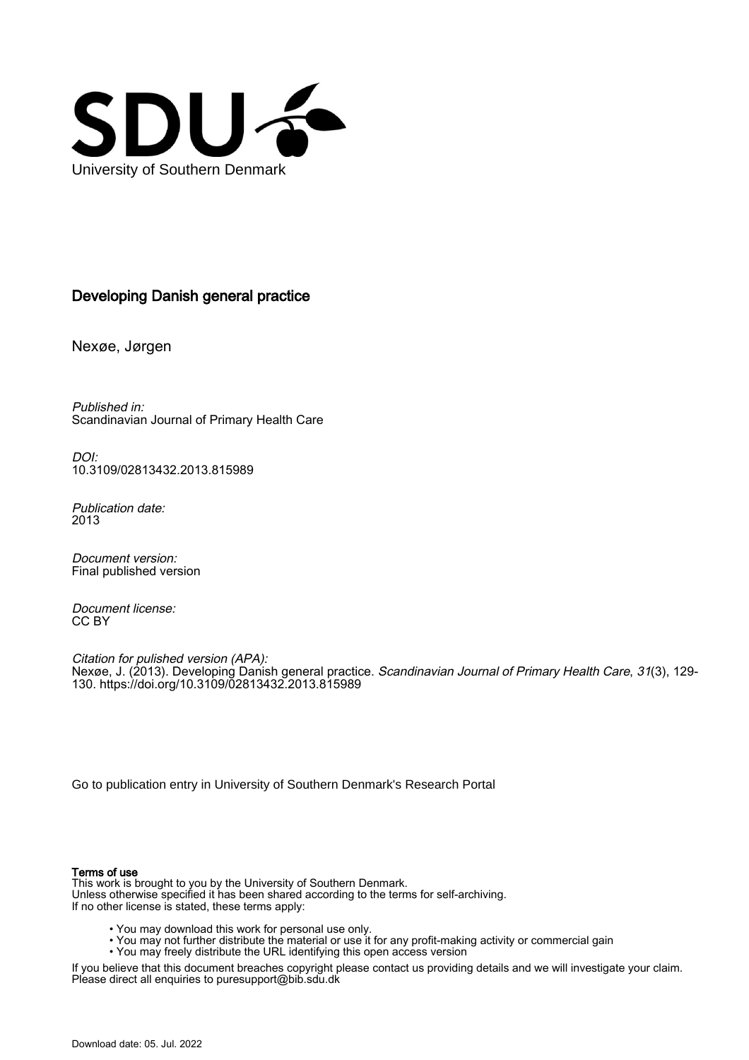

# Developing Danish general practice

Nexøe, Jørgen

Published in: Scandinavian Journal of Primary Health Care

DOI: [10.3109/02813432.2013.815989](https://doi.org/10.3109/02813432.2013.815989)

Publication date: 2013

Document version: Final published version

Document license: CC BY

Citation for pulished version (APA): Nexøe, J. (2013). Developing Danish general practice. *Scandinavian Journal of Primary Health Care*, *31*(3), 129-130.<https://doi.org/10.3109/02813432.2013.815989>

[Go to publication entry in University of Southern Denmark's Research Portal](https://portal.findresearcher.sdu.dk/en/publications/03e1330a-a2bb-402e-b731-a2d10045cad8)

#### Terms of use

This work is brought to you by the University of Southern Denmark. Unless otherwise specified it has been shared according to the terms for self-archiving. If no other license is stated, these terms apply:

- You may download this work for personal use only.
- You may not further distribute the material or use it for any profit-making activity or commercial gain
- You may freely distribute the URL identifying this open access version

If you believe that this document breaches copyright please contact us providing details and we will investigate your claim. Please direct all enquiries to puresupport@bib.sdu.dk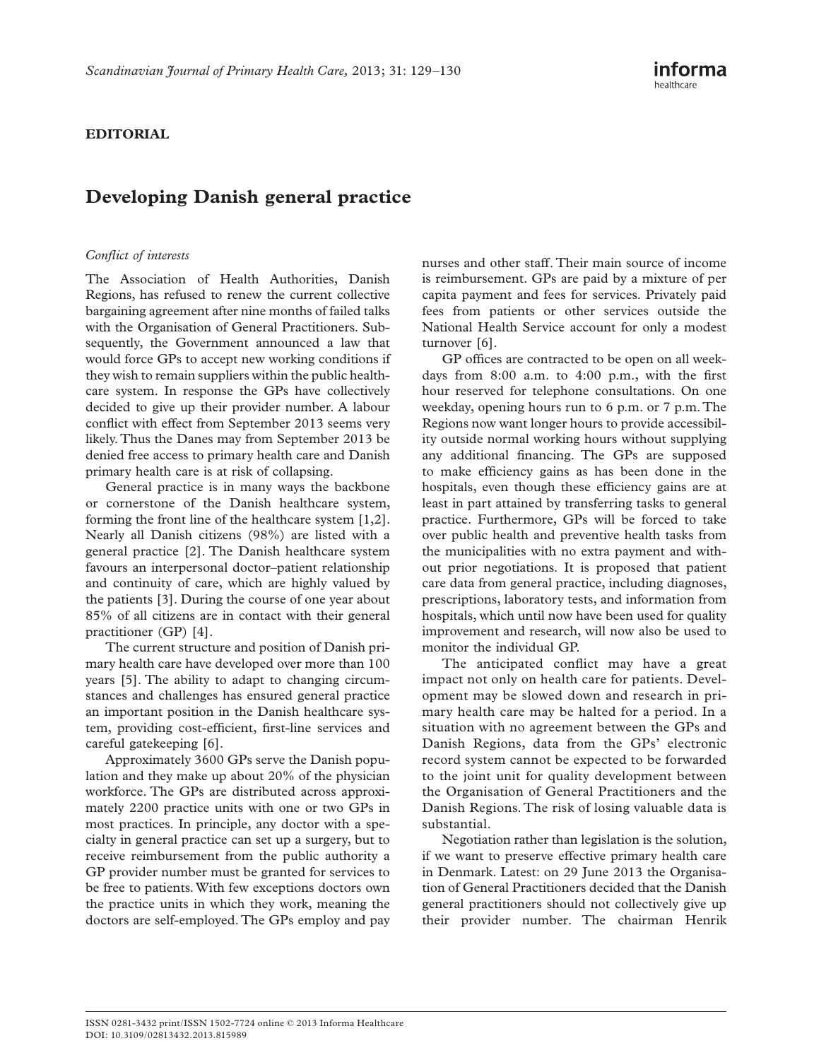## **EDITORIAL**

# **Developing Danish general practice**

### *Confl ict of interests*

The Association of Health Authorities, Danish Regions, has refused to renew the current collective bargaining agreement after nine months of failed talks with the Organisation of General Practitioners. Subsequently, the Government announced a law that would force GPs to accept new working conditions if they wish to remain suppliers within the public healthcare system. In response the GPs have collectively decided to give up their provider number. A labour conflict with effect from September 2013 seems very likely. Thus the Danes may from September 2013 be denied free access to primary health care and Danish primary health care is at risk of collapsing.

General practice is in many ways the backbone or cornerstone of the Danish healthcare system, forming the front line of the healthcare system  $[1,2]$ . Nearly all Danish citizens (98%) are listed with a general practice [2]. The Danish healthcare system favours an interpersonal doctor-patient relationship and continuity of care, which are highly valued by the patients  $[3]$ . During the course of one year about 85% of all citizens are in contact with their general practitioner (GP) [4].

The current structure and position of Danish primary health care have developed over more than 100 years [5]. The ability to adapt to changing circumstances and challenges has ensured general practice an important position in the Danish healthcare system, providing cost-efficient, first-line services and careful gatekeeping [6].

Approximately 3600 GPs serve the Danish population and they make up about 20% of the physician workforce. The GPs are distributed across approximately 2200 practice units with one or two GPs in most practices. In principle, any doctor with a specialty in general practice can set up a surgery, but to receive reimbursement from the public authority a GP provider number must be granted for services to be free to patients. With few exceptions doctors own the practice units in which they work, meaning the doctors are self-employed. The GPs employ and pay

nurses and other staff. Their main source of income is reimbursement. GPs are paid by a mixture of per capita payment and fees for services. Privately paid fees from patients or other services outside the National Health Service account for only a modest turnover [6].

GP offices are contracted to be open on all weekdays from  $8:00$  a.m. to  $4:00$  p.m., with the first hour reserved for telephone consultations. On one weekday, opening hours run to 6 p.m. or 7 p.m. The Regions now want longer hours to provide accessibility outside normal working hours without supplying any additional financing. The GPs are supposed to make efficiency gains as has been done in the hospitals, even though these efficiency gains are at least in part attained by transferring tasks to general practice. Furthermore, GPs will be forced to take over public health and preventive health tasks from the municipalities with no extra payment and without prior negotiations. It is proposed that patient care data from general practice, including diagnoses, prescriptions, laboratory tests, and information from hospitals, which until now have been used for quality improvement and research, will now also be used to monitor the individual GP.

The anticipated conflict may have a great impact not only on health care for patients. Development may be slowed down and research in primary health care may be halted for a period. In a situation with no agreement between the GPs and Danish Regions, data from the GPs' electronic record system cannot be expected to be forwarded to the joint unit for quality development between the Organisation of General Practitioners and the Danish Regions. The risk of losing valuable data is substantial.

Negotiation rather than legislation is the solution, if we want to preserve effective primary health care in Denmark. Latest: on 29 June 2013 the Organisation of General Practitioners decided that the Danish general practitioners should not collectively give up their provider number. The chairman Henrik